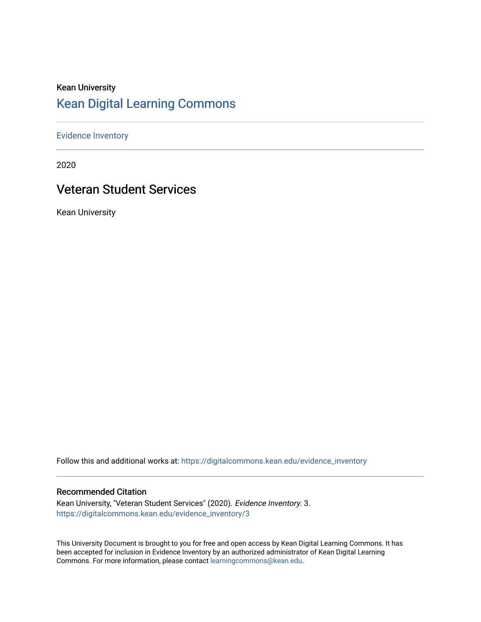# Kean University [Kean Digital Learning Commons](https://digitalcommons.kean.edu/)

[Evidence Inventory](https://digitalcommons.kean.edu/evidence_inventory) 

2020

# Veteran Student Services

Kean University

Follow this and additional works at: [https://digitalcommons.kean.edu/evidence\\_inventory](https://digitalcommons.kean.edu/evidence_inventory?utm_source=digitalcommons.kean.edu%2Fevidence_inventory%2F3&utm_medium=PDF&utm_campaign=PDFCoverPages)

#### Recommended Citation

Kean University, "Veteran Student Services" (2020). Evidence Inventory. 3. [https://digitalcommons.kean.edu/evidence\\_inventory/3](https://digitalcommons.kean.edu/evidence_inventory/3?utm_source=digitalcommons.kean.edu%2Fevidence_inventory%2F3&utm_medium=PDF&utm_campaign=PDFCoverPages) 

This University Document is brought to you for free and open access by Kean Digital Learning Commons. It has been accepted for inclusion in Evidence Inventory by an authorized administrator of Kean Digital Learning Commons. For more information, please contact [learningcommons@kean.edu.](mailto:learningcommons@kean.edu)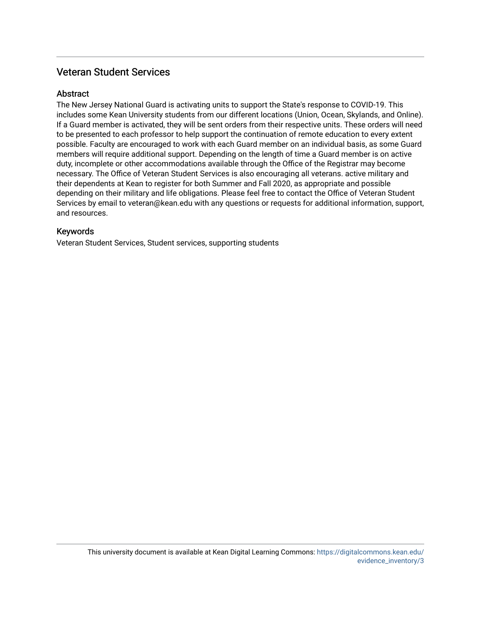### Veteran Student Services

### Abstract

The New Jersey National Guard is activating units to support the State's response to COVID-19. This includes some Kean University students from our different locations (Union, Ocean, Skylands, and Online). If a Guard member is activated, they will be sent orders from their respective units. These orders will need to be presented to each professor to help support the continuation of remote education to every extent possible. Faculty are encouraged to work with each Guard member on an individual basis, as some Guard members will require additional support. Depending on the length of time a Guard member is on active duty, incomplete or other accommodations available through the Office of the Registrar may become necessary. The Office of Veteran Student Services is also encouraging all veterans. active military and their dependents at Kean to register for both Summer and Fall 2020, as appropriate and possible depending on their military and life obligations. Please feel free to contact the Office of Veteran Student Services by email to veteran@kean.edu with any questions or requests for additional information, support, and resources.

### Keywords

Veteran Student Services, Student services, supporting students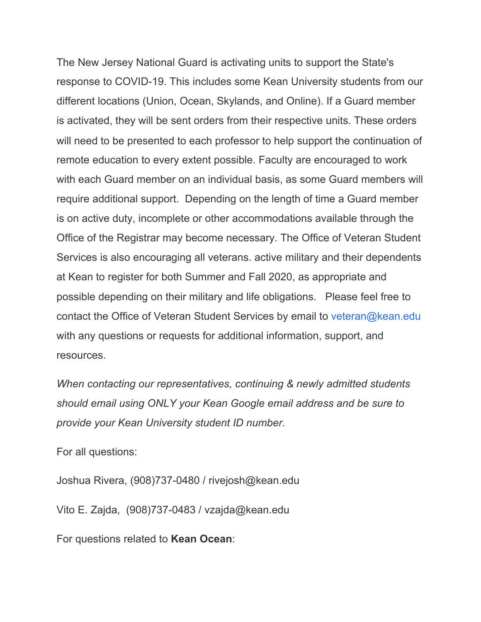The New Jersey National Guard is activating units to support the State's response to COVID-19. This includes some Kean University students from our different locations (Union, Ocean, Skylands, and Online). If a Guard member is activated, they will be sent orders from their respective units. These orders will need to be presented to each professor to help support the continuation of remote education to every extent possible. Faculty are encouraged to work with each Guard member on an individual basis, as some Guard members will require additional support. Depending on the length of time a Guard member is on active duty, incomplete or other accommodations available through the Office of the Registrar may become necessary. The Office of Veteran Student Services is also encouraging all veterans. active military and their dependents at Kean to register for both Summer and Fall 2020, as appropriate and possible depending on their military and life obligations. Please feel free to contact the Office of Veteran Student Services by email to veteran@kean.edu with any questions or requests for additional information, support, and resources.

*When contacting our representatives, continuing & newly admitted students should email using ONLY your Kean Google email address and be sure to provide your Kean University student ID number.*

For all questions:

Joshua Rivera, (908)737-0480 / rivejosh@kean.edu

Vito E. Zajda, (908)737-0483 / vzajda@kean.edu

For questions related to **Kean Ocean**: